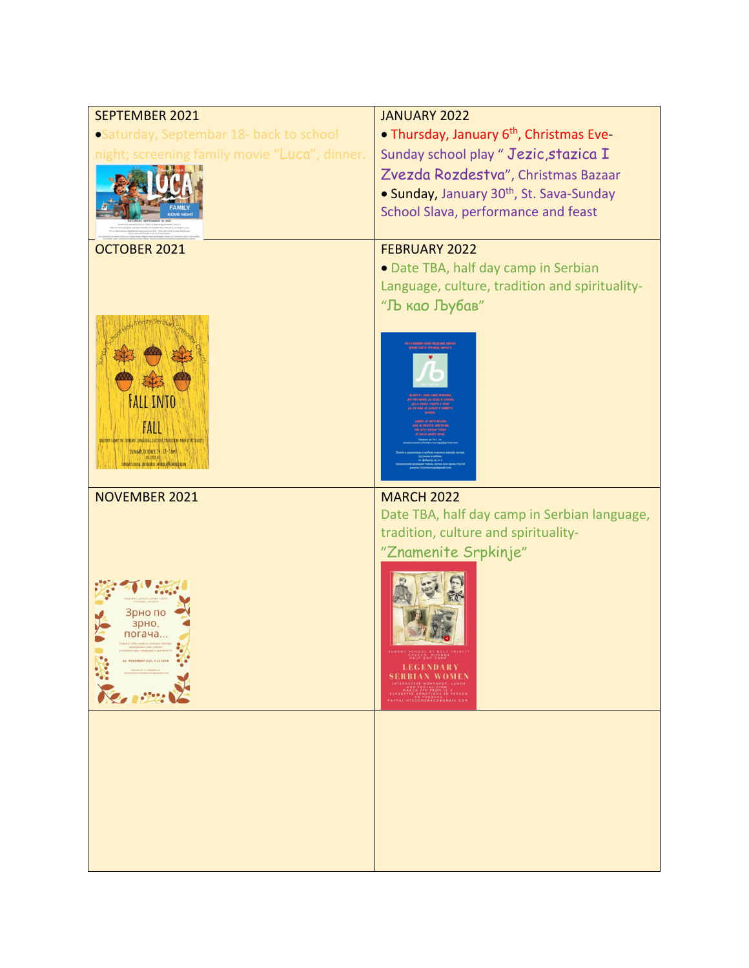| SEPTEMBER 2021                                                                  | <b>JANUARY 2022</b>                                                                                                                                                |
|---------------------------------------------------------------------------------|--------------------------------------------------------------------------------------------------------------------------------------------------------------------|
| •Saturday, Septembar 18- back to school                                         | • Thursday, January 6 <sup>th</sup> , Christmas Eve-                                                                                                               |
| night; screening family movie "Luca", dinner.                                   | Sunday school play " Jezic, stazica I                                                                                                                              |
|                                                                                 | Zvezda Rozdestva", Christmas Bazaar                                                                                                                                |
|                                                                                 | • Sunday, January 30th, St. Sava-Sunday                                                                                                                            |
|                                                                                 | School Slava, performance and feast                                                                                                                                |
|                                                                                 |                                                                                                                                                                    |
| OCTOBER 2021                                                                    | <b>FEBRUARY 2022</b>                                                                                                                                               |
|                                                                                 | · Date TBA, half day camp in Serbian                                                                                                                               |
|                                                                                 | Language, culture, tradition and spirituality-                                                                                                                     |
|                                                                                 | "Љ као Љубав"                                                                                                                                                      |
|                                                                                 |                                                                                                                                                                    |
|                                                                                 |                                                                                                                                                                    |
|                                                                                 |                                                                                                                                                                    |
| <b>HALL INTO</b>                                                                |                                                                                                                                                                    |
|                                                                                 |                                                                                                                                                                    |
| FALL<br>BALFDAY CAMP IN SERBIAN LANGUAGE CULTURE TRADITION AND SPIRITUALITY     |                                                                                                                                                                    |
| SUNDAY OCTOBER 24, 12-3PM<br><b>ALCLESTER AT</b><br>BOOL BETROBOI MOLAGAR GWALL |                                                                                                                                                                    |
|                                                                                 |                                                                                                                                                                    |
|                                                                                 |                                                                                                                                                                    |
| <b>NOVEMBER 2021</b>                                                            | <b>MARCH 2022</b>                                                                                                                                                  |
|                                                                                 | Date TBA, half day camp in Serbian language,                                                                                                                       |
|                                                                                 | tradition, culture and spirituality-                                                                                                                               |
|                                                                                 | "Znamenite Srpkinje"                                                                                                                                               |
|                                                                                 |                                                                                                                                                                    |
|                                                                                 |                                                                                                                                                                    |
| зрно пс<br>зрно,                                                                |                                                                                                                                                                    |
| погача                                                                          |                                                                                                                                                                    |
| 14. НОВЕНБАР 2021, У 12 САТИ •                                                  | CHURCH, MORAGA<br>HALF DAY CAMP                                                                                                                                    |
| 1373                                                                            | <b>LEGENDARY</b><br><b>SERBIAN WOMEN</b>                                                                                                                           |
| <b>Steps</b>                                                                    | INTERACTIVE WORKSHOP, LUNCH<br>AND SOCIALIZING<br>AND SOCIALIZING<br>SUGGESTED DONATIONS IN PERSON<br>PAYPAL:HTSOCHORAGA@GMAIL.COM<br>PAYPAL:HTSOCHORAGA@GMAIL.COM |
|                                                                                 |                                                                                                                                                                    |
|                                                                                 |                                                                                                                                                                    |
|                                                                                 |                                                                                                                                                                    |
|                                                                                 |                                                                                                                                                                    |
|                                                                                 |                                                                                                                                                                    |
|                                                                                 |                                                                                                                                                                    |
|                                                                                 |                                                                                                                                                                    |